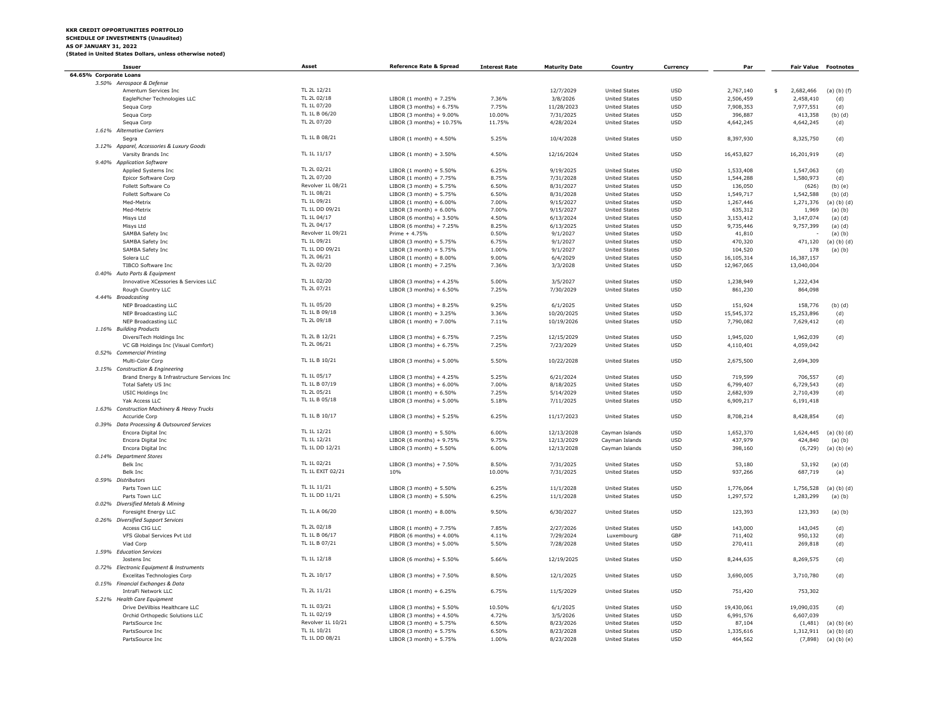# **KKR CREDIT OPPORTUNITIES PORTFOLIO**

## **SCHEDULE OF INVESTMENTS (Unaudited)**

### **AS OF JANUARY 31, 2022 (Stated in United States Dollars, unless otherwise noted)**

|                                             | Asset             | <b>Reference Rate &amp; Spread</b> |                      |                      |                      |            |            |                 |                             |
|---------------------------------------------|-------------------|------------------------------------|----------------------|----------------------|----------------------|------------|------------|-----------------|-----------------------------|
| Issuer<br>64.65% Corporate Loans            |                   |                                    | <b>Interest Rate</b> | <b>Maturity Date</b> | Country              | Currency   | Par        |                 | <b>Fair Value Footnotes</b> |
|                                             |                   |                                    |                      |                      |                      |            |            |                 |                             |
| 3.50% Aerospace & Defense                   | TL 2L 12/21       |                                    |                      |                      |                      |            |            |                 |                             |
| Amentum Services Inc                        | TL 2L 02/18       |                                    |                      | 12/7/2029            | <b>United States</b> | <b>USD</b> | 2,767,140  | 2,682,466<br>\$ | $(a)$ $(b)$ $(f)$           |
| EaglePicher Technologies LLC                |                   | LIBOR (1 month) + 7.25%            | 7.36%                | 3/8/2026             | <b>United States</b> | <b>USD</b> | 2,506,459  | 2,458,410       | (d)                         |
| Sequa Corp                                  | TL 1L 07/20       | LIBOR $(3$ months $) + 6.75%$      | 7.75%                | 11/28/2023           | <b>United States</b> | USD        | 7,908,353  | 7,977,551       | (d)                         |
| Sequa Corp                                  | TL 1L B 06/20     | LIBOR (3 months) + $9.00\%$        | 10.00%               | 7/31/2025            | <b>United States</b> | <b>USD</b> | 396,887    | 413,358         | $(b)$ $(d)$                 |
| Sequa Corp                                  | TL 2L 07/20       | LIBOR $(3$ months $) + 10.75%$     | 11.75%               | 4/28/2024            | <b>United States</b> | <b>USD</b> | 4,642,245  | 4,642,245       | (d)                         |
| 1.61% Alternative Carriers                  |                   |                                    |                      |                      |                      |            |            |                 |                             |
| Segra                                       | TL 1L B 08/21     | LIBOR $(1 \text{ month}) + 4.50\%$ | 5.25%                | 10/4/2028            | <b>United States</b> | <b>USD</b> | 8,397,930  | 8,325,750       | (d)                         |
| 3.12% Apparel, Accessories & Luxury Goods   |                   |                                    |                      |                      |                      |            |            |                 |                             |
| Varsity Brands Inc.                         | TL 1L 11/17       | LIBOR $(1$ month $) + 3.50\%$      | 4.50%                | 12/16/2024           | <b>United States</b> | <b>USD</b> | 16,453,827 | 16,201,919      | (d)                         |
| 9.40% Application Software                  |                   |                                    |                      |                      |                      |            |            |                 |                             |
| Applied Systems Inc                         | TL 2L 02/21       | LIBOR (1 month) + 5.50%            | 6.25%                | 9/19/2025            | <b>United States</b> | USD        | 1,533,408  | 1,547,063       | (d)                         |
| Epicor Software Corp                        | TL 2L 07/20       | LIBOR (1 month) + 7.75%            | 8.75%                | 7/31/2028            | <b>United States</b> | <b>USD</b> | 1,544,288  | 1,580,973       | (d)                         |
| Follett Software Co                         | Revolver 1L 08/21 | LIBOR (3 month) + 5.75%            | 6.50%                | 8/31/2027            | <b>United States</b> | <b>USD</b> | 136,050    | (626)           | $(b)$ $(e)$                 |
| Follett Software Co                         | TL 1L 08/21       | LIBOR (3 month) + 5.75%            | 6.50%                | 8/31/2028            | <b>United States</b> | <b>USD</b> | 1,549,717  | 1,542,588       | $(b)$ $(d)$                 |
| Med-Metrix                                  | TL 1L 09/21       | LIBOR $(1 \text{ month}) + 6.00\%$ | 7.00%                | 9/15/2027            | <b>United States</b> | <b>USD</b> | 1,267,446  | 1,271,376       | $(a)$ $(b)$ $(d)$           |
| Med-Metrix                                  | TL 1L DD 09/21    | LIBOR $(3 \text{ month}) + 6.00\%$ | 7.00%                | 9/15/2027            | <b>United States</b> | <b>USD</b> | 635,312    | 1,969           | $(a)$ $(b)$                 |
| Misys Ltd                                   | TL 1L 04/17       | LIBOR (6 months) $+3.50\%$         | 4.50%                | 6/13/2024            | <b>United States</b> | <b>USD</b> | 3,153,412  | 3,147,074       | $(a)$ $(d)$                 |
| Misys Ltd                                   | TL 2L 04/17       | LIBOR (6 months) + $7.25\%$        | 8.25%                | 6/13/2025            | <b>United States</b> | <b>USD</b> | 9,735,446  | 9,757,399       | $(a)$ $(d)$                 |
| SAMBA Safety Inc                            | Revolver 1L 09/21 | Prime + 4.75%                      | 0.50%                | 9/1/2027             | <b>United States</b> | <b>USD</b> | 41,810     |                 | $(a)$ $(b)$                 |
| SAMBA Safety Inc                            | TL 1L 09/21       | LIBOR $(3 \text{ month}) + 5.75\%$ | 6.75%                | 9/1/2027             | <b>United States</b> | <b>USD</b> | 470,320    | 471,120         | $(a)$ $(b)$ $(d)$           |
| SAMBA Safety Inc                            | TL 1L DD 09/21    |                                    | 1.00%                | 9/1/2027             | <b>United States</b> | <b>USD</b> | 104,520    | 178             |                             |
|                                             | TL 2L 06/21       | LIBOR (3 month) + 5.75%            |                      |                      |                      |            |            |                 | $(a)$ $(b)$                 |
| Solera LLC                                  | TL 2L 02/20       | LIBOR (1 month) + 8.00%            | 9.00%                | 6/4/2029             | <b>United States</b> | <b>USD</b> | 16,105,314 | 16,387,157      |                             |
| TIBCO Software Inc                          |                   | LIBOR (1 month) + 7.25%            | 7.36%                | 3/3/2028             | <b>United States</b> | USD        | 12,967,065 | 13,040,004      |                             |
| 0.40% Auto Parts & Equipment                |                   |                                    |                      |                      |                      |            |            |                 |                             |
| Innovative XCessories & Services LLC        | TL 1L 02/20       | LIBOR $(3$ months $) + 4.25%$      | 5.00%                | 3/5/2027             | <b>United States</b> | <b>USD</b> | 1,238,949  | 1,222,434       |                             |
| Rough Country LLC                           | TL 2L 07/21       | LIBOR $(3$ months $) + 6.50\%$     | 7.25%                | 7/30/2029            | <b>United States</b> | <b>USD</b> | 861,230    | 864,098         |                             |
| 4.44% Broadcasting                          |                   |                                    |                      |                      |                      |            |            |                 |                             |
| NEP Broadcasting LLC                        | TL 1L 05/20       | LIBOR (3 months) + $8.25\%$        | 9.25%                | 6/1/2025             | <b>United States</b> | <b>USD</b> | 151,924    | 158,776         | $(b)$ $(d)$                 |
| NEP Broadcasting LLC                        | TL 1L B 09/18     | LIBOR $(1 \text{ month}) + 3.25\%$ | 3.36%                | 10/20/2025           | <b>United States</b> | <b>USD</b> | 15,545,372 | 15,253,896      | (d)                         |
| NEP Broadcasting LLC                        | TL 2L 09/18       | LIBOR $(1 \text{ month}) + 7.00\%$ | 7.11%                | 10/19/2026           | <b>United States</b> | <b>USD</b> | 7,790,082  | 7,629,412       | (d)                         |
| 1.16% Building Products                     |                   |                                    |                      |                      |                      |            |            |                 |                             |
| DiversiTech Holdings Inc                    | TL 2L B 12/21     | LIBOR (3 months) + $6.75\%$        | 7.25%                | 12/15/2029           | <b>United States</b> | <b>USD</b> | 1,945,020  | 1,962,039       | (d)                         |
| VC GB Holdings Inc (Visual Comfort)         | TL 2L 06/21       | LIBOR $(3$ months) + 6.75%         | 7.25%                | 7/23/2029            | <b>United States</b> | <b>USD</b> | 4,110,401  | 4,059,042       |                             |
| 0.52% Commercial Printing                   |                   |                                    |                      |                      |                      |            |            |                 |                             |
| Multi-Color Corp                            | TL 1L B 10/21     | LIBOR $(3$ months $) + 5.00\%$     | 5.50%                | 10/22/2028           | <b>United States</b> | <b>USD</b> | 2,675,500  | 2,694,309       |                             |
| 3.15% Construction & Engineering            |                   |                                    |                      |                      |                      |            |            |                 |                             |
| Brand Energy & Infrastructure Services Inc  | TL 1L 05/17       | LIBOR $(3$ months) + 4.25%         | 5.25%                | 6/21/2024            | <b>United States</b> | <b>USD</b> | 719,599    | 706,557         | (d)                         |
| Total Safety US Inc                         | TL 1L B 07/19     | LIBOR $(3$ months $) + 6.00\%$     | 7.00%                | 8/18/2025            | <b>United States</b> | <b>USD</b> | 6,799,407  | 6,729,543       | (d)                         |
| <b>USIC Holdings Inc</b>                    | TL 2L 05/21       | LIBOR $(1 \text{ month}) + 6.50\%$ | 7.25%                | 5/14/2029            | <b>United States</b> | USD        | 2,682,939  | 2,710,439       | (d)                         |
| Yak Access LLC                              | TL 1L B 05/18     | LIBOR (3 months) + $5.00\%$        | 5.18%                | 7/11/2025            | <b>United States</b> | <b>USD</b> | 6,909,217  | 6,191,418       |                             |
|                                             |                   |                                    |                      |                      |                      |            |            |                 |                             |
| 1.63% Construction Machinery & Heavy Trucks | TL 1L B 10/17     |                                    |                      |                      |                      |            |            |                 |                             |
| Accuride Corn                               |                   | LIBOR $(3$ months $) + 5.25%$      | 6.25%                | 11/17/2023           | <b>United States</b> | <b>USD</b> | 8,708,214  | 8,428,854       | (d)                         |
| 0.39% Data Processing & Outsourced Services |                   |                                    |                      |                      |                      |            |            |                 |                             |
| Encora Digital Inc                          | TL 1L 12/21       | LIBOR $(3 \text{ month}) + 5.50\%$ | 6.00%                | 12/13/2028           | Cayman Islands       | <b>USD</b> | 1,652,370  | 1,624,445       | $(a)$ $(b)$ $(d)$           |
| Encora Digital Inc                          | TL 1L 12/21       | LIBOR (6 months) + $9.75%$         | 9.75%                | 12/13/2029           | Cayman Islands       | <b>USD</b> | 437,979    | 424,840         | $(a)$ $(b)$                 |
| Encora Digital Inc                          | TL 1L DD 12/21    | LIBOR (3 month) + 5.50%            | 6.00%                | 12/13/2028           | Cayman Islands       | <b>USD</b> | 398,160    | (6, 729)        | $(a)$ $(b)$ $(e)$           |
| 0.14% Department Stores                     |                   |                                    |                      |                      |                      |            |            |                 |                             |
| Belk Inc                                    | TL 1L 02/21       | LIBOR $(3$ months $) + 7.50\%$     | 8.50%                | 7/31/2025            | <b>United States</b> | <b>USD</b> | 53,180     | 53,192          | $(a)$ $(d)$                 |
| Belk Inc                                    | TL 1L EXIT 02/21  | 10%                                | 10.00%               | 7/31/2025            | <b>United States</b> | USD        | 937,266    | 687,719         | (a)                         |
| 0.59% Distributors                          |                   |                                    |                      |                      |                      |            |            |                 |                             |
| Parts Town LLC                              | TL 1L 11/21       | LIBOR $(3 \text{ month}) + 5.50\%$ | 6.25%                | 11/1/2028            | <b>United States</b> | <b>USD</b> | 1,776,064  | 1,756,528       | $(a)$ $(b)$ $(d)$           |
| Parts Town II C                             | TL 1L DD 11/21    | LIBOR (3 month) + 5.50%            | 6.25%                | 11/1/2028            | <b>United States</b> | USD        | 1,297,572  | 1,283,299       | $(a)$ $(b)$                 |
| 0.02% Diversified Metals & Mining           |                   |                                    |                      |                      |                      |            |            |                 |                             |
| Foresight Energy LLC                        | TL 1L A 06/20     | LIBOR $(1 \text{ month}) + 8.00\%$ | 9.50%                | 6/30/2027            | <b>United States</b> | <b>USD</b> | 123,393    | 123,393         | $(a)$ $(b)$                 |
| 0.26% Diversified Support Services          |                   |                                    |                      |                      |                      |            |            |                 |                             |
| Access CIG LLC                              | TL 2L 02/18       | LIBOR (1 month) + 7.75%            | 7.85%                | 2/27/2026            | <b>United States</b> | <b>USD</b> | 143,000    | 143,045         | (d)                         |
| VFS Global Services Pvt Ltd                 | TL 1L B 06/17     | PIBOR (6 months) + 4.00%           | 4.11%                | 7/29/2024            | Luxembourg           | GBP        | 711,402    | 950,132         | (d)                         |
| Viad Corp                                   | TL 1L B 07/21     | LIBOR $(3$ months $) + 5.00\%$     | 5.50%                | 7/28/2028            | <b>United States</b> | <b>USD</b> | 270,411    | 269,818         | (d)                         |
|                                             |                   |                                    |                      |                      |                      |            |            |                 |                             |
| 1.59% Education Services                    | TL 1L 12/18       |                                    |                      |                      |                      |            |            |                 |                             |
| lostens Inc.                                |                   | LIBOR (6 months) + 5.50%           | 5.66%                | 12/19/2025           | <b>United States</b> | <b>USD</b> | 8,244,635  | 8,269,575       | (d)                         |
| 0.72% Electronic Equipment & Instruments    |                   |                                    |                      |                      |                      |            |            |                 |                             |
| Excelitas Technologies Corp                 | TL 2L 10/17       | LIBOR $(3$ months $) + 7.50\%$     | 8.50%                | 12/1/2025            | <b>United States</b> | USD        | 3,690,005  | 3,710,780       | (d)                         |
| 0.15% Financial Exchanges & Data            |                   |                                    |                      |                      |                      |            |            |                 |                             |
| IntraFi Network LLC                         | TL 2L 11/21       | LIBOR $(1$ month $) + 6.25%$       | 6.75%                | 11/5/2029            | <b>United States</b> | <b>USD</b> | 751,420    | 753,302         |                             |
| 5.21% Health Care Equipment                 |                   |                                    |                      |                      |                      |            |            |                 |                             |
| Drive DeVilbiss Healthcare LLC              | TL 1L 03/21       | LIBOR $(3$ months) + 5.50%         | 10.50%               | 6/1/2025             | <b>United States</b> | <b>USD</b> | 19,430,061 | 19,090,035      | (d)                         |
| Orchid Orthopedic Solutions LLC             | TL 1L 02/19       | LIBOR $(3$ months $) + 4.50%$      | 4.72%                | 3/5/2026             | <b>United States</b> | <b>USD</b> | 6,991,576  | 6,607,039       |                             |
| PartsSource Inc                             | Revolver 1L 10/21 | LIBOR (3 month) + 5.75%            | 6.50%                | 8/23/2026            | <b>United States</b> | <b>USD</b> | 87,104     | (1, 481)        | $(a)$ $(b)$ $(e)$           |
| PartsSource Inc                             | TL 1L 10/21       | LIBOR $(3 \text{ month}) + 5.75\%$ | 6.50%                | 8/23/2028            | <b>United States</b> | <b>USD</b> | 1,335,616  |                 | 1,312,911 (a) (b) (d)       |
| PartsSource Inc                             | TL 1L DD 08/21    | LIBOR (3 month) + 5.75%            | 1.00%                | 8/23/2028            | <b>United States</b> | <b>USD</b> | 464.562    | (7,898)         | $(a)$ $(b)$ $(e)$           |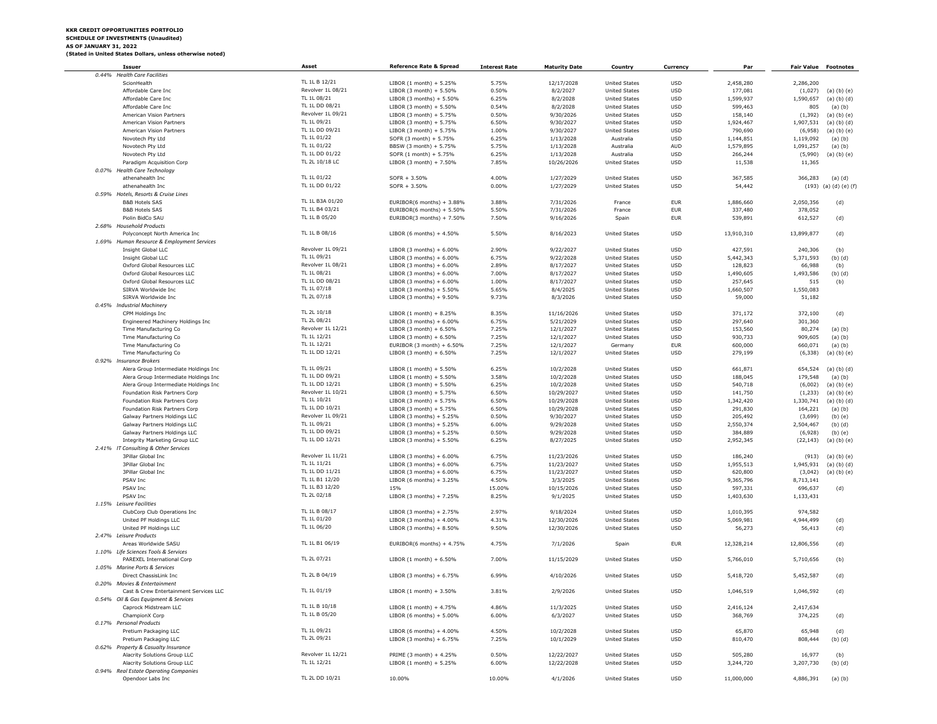### **KKR CREDIT OPPORTUNITIES PORTFOLIO SCHEDULE OF INVESTMENTS (Unaudited) AS OF JANUARY 31, 2022 (Stated in United States Dollars, unless otherwise noted)**

| <b>Issuer</b>                              | Asset             | <b>Reference Rate &amp; Spread</b> | <b>Interest Rate</b> | <b>Maturity Date</b> | Country              | Currency   | Par        |            | <b>Fair Value Footnotes</b> |
|--------------------------------------------|-------------------|------------------------------------|----------------------|----------------------|----------------------|------------|------------|------------|-----------------------------|
| 0.44% Health Care Facilities               |                   |                                    |                      |                      |                      |            |            |            |                             |
| ScionHealth                                | TL 1L B 12/21     | LIBOR $(1 \text{ month}) + 5.25\%$ | 5.75%                | 12/17/2028           | <b>United States</b> | <b>USD</b> | 2,458,280  | 2,286,200  |                             |
|                                            | Revolver 1L 08/21 |                                    |                      |                      |                      |            |            |            |                             |
| Affordable Care Inc                        |                   | LIBOR (3 month) + 5.50%            | 0.50%                | 8/2/2027             | <b>United States</b> | <b>USD</b> | 177,081    | (1,027)    | (a) (b) (e)                 |
| Affordable Care Inc                        | TL 1L 08/21       | LIBOR (3 months) + $5.50\%$        | 6.25%                | 8/2/2028             | <b>United States</b> | <b>USD</b> | 1,599,937  | 1,590,657  | $(a)$ $(b)$ $(d)$           |
| Affordable Care Inc                        | TL 1L DD 08/21    | LIBOR (3 month) + 5.50%            | 0.54%                | 8/2/2028             | <b>United States</b> | <b>USD</b> | 599,463    | 805        | (a) (b)                     |
| American Vision Partners                   | Revolver 1L 09/21 | LIBOR (3 month) + 5.75%            | 0.50%                | 9/30/2026            | <b>United States</b> | <b>USD</b> | 158,140    | (1, 392)   | (a) (b) (e)                 |
| American Vision Partners                   | TL 1L 09/21       | LIBOR (3 month) + 5.75%            | 6.50%                | 9/30/2027            | <b>United States</b> | <b>USD</b> | 1,924,467  | 1,907,531  | $(a)$ $(b)$ $(d)$           |
| American Vision Partners                   | TL 1L DD 09/21    | LIBOR (3 month) + 5.75%            | 1.00%                | 9/30/2027            | <b>United States</b> | <b>USD</b> | 790,690    | (6,958)    | $(a)$ $(b)$ $(e)$           |
| Novotech Pty Ltd                           | TL 1L 01/22       | SOFR (3 month) + 5.75%             | 6.25%                | 1/13/2028            | Australia            | <b>USD</b> | 1,144,851  |            |                             |
|                                            |                   |                                    |                      |                      |                      |            |            | 1,119,092  | $(a)$ $(b)$                 |
| Novotech Pty Ltd                           | TL 1L 01/22       | BBSW (3 month) + 5.75%             | 5.75%                | 1/13/2028            | Australia            | <b>AUD</b> | 1,579,895  | 1,091,257  | $(a)$ $(b)$                 |
| Novotech Pty Ltd                           | TL 1L DD 01/22    | SOFR (1 month) + 5.75%             | 6.25%                | 1/13/2028            | Australia            | <b>USD</b> | 266,244    | (5,990)    | $(a)$ $(b)$ $(e)$           |
| Paradigm Acquisition Corp                  | TL 2L 10/18 LC    | LIBOR (3 month) + 7.50%            | 7.85%                | 10/26/2026           | <b>United States</b> | USD        | 11,538     | 11,365     |                             |
| 0.07% Health Care Technology               |                   |                                    |                      |                      |                      |            |            |            |                             |
| athenahealth Inc                           | TL 1L 01/22       | SOFR + 3.50%                       | 4.00%                | 1/27/2029            | <b>United States</b> | <b>USD</b> | 367,585    | 366,283    | $(a)$ $(d)$                 |
| athenahealth Inc                           | TL 1L DD 01/22    | SOFR + 3.50%                       | $0.00\%$             | 1/27/2029            | <b>United States</b> | <b>USD</b> |            |            |                             |
|                                            |                   |                                    |                      |                      |                      |            | 54,442     |            | (193) (a) (d) (e) (f)       |
| 0.59% Hotels, Resorts & Cruise Lines       |                   |                                    |                      |                      |                      |            |            |            |                             |
| <b>B&amp;B Hotels SAS</b>                  | TL 1L B3A 01/20   | EURIBOR(6 months) + 3.88%          | 3.88%                | 7/31/2026            | France               | <b>EUR</b> | 1,886,660  | 2,050,356  | (d)                         |
| <b>B&amp;B Hotels SAS</b>                  | TL 1L B4 03/21    | EURIBOR(6 months) + $5.50\%$       | 5.50%                | 7/31/2026            | France               | <b>EUR</b> | 337,480    | 378,052    |                             |
| Piolin BidCo SAU                           | TL 1L B 05/20     | EURIBOR(3 months) + $7.50\%$       | 7.50%                | 9/16/2026            | Spain                | <b>EUR</b> | 539,891    | 612,527    | (d)                         |
| 2.68% Household Products                   |                   |                                    |                      |                      |                      |            |            |            |                             |
|                                            | TL 1L B 08/16     | LIBOR (6 months) + $4.50\%$        | 5.50%                | 8/16/2023            | <b>United States</b> | <b>USD</b> | 13,910,310 | 13,899,877 |                             |
| Polyconcept North America Inc              |                   |                                    |                      |                      |                      |            |            |            | (d)                         |
| 1.69% Human Resource & Employment Services |                   |                                    |                      |                      |                      |            |            |            |                             |
| Insight Global LLC                         | Revolver 1L 09/21 | LIBOR (3 months) + $6.00\%$        | 2.90%                | 9/22/2027            | <b>United States</b> | <b>USD</b> | 427,591    | 240,306    | (b)                         |
| Insight Global LLC                         | TL 1L 09/21       | LIBOR $(3$ months) + $6.00\%$      | 6.75%                | 9/22/2028            | <b>United States</b> | <b>USD</b> | 5,442,343  | 5,371,593  | $(b)$ $(d)$                 |
| Oxford Global Resources LLC                | Revolver 1L 08/21 | LIBOR (3 months) + $6.00\%$        | 2.89%                | 8/17/2027            | <b>United States</b> | <b>USD</b> | 128,823    | 66,988     | (b)                         |
| Oxford Global Resources LLC                | TL 1L 08/21       | LIBOR (3 months) + $6.00\%$        | 7.00%                | 8/17/2027            | <b>United States</b> | <b>USD</b> | 1,490,605  | 1,493,586  | $(b)$ $(d)$                 |
|                                            | TL 1L DD 08/21    |                                    |                      |                      |                      |            |            |            |                             |
| Oxford Global Resources LLC                |                   | LIBOR (3 months) + $6.00\%$        | 1.00%                | 8/17/2027            | <b>United States</b> | <b>USD</b> | 257,645    | 515        | (b)                         |
| SIRVA Worldwide Inc                        | TL 1L 07/18       | LIBOR $(3$ months $) + 5.50%$      | 5.65%                | 8/4/2025             | <b>United States</b> | USD        | 1,660,507  | 1,550,083  |                             |
| SIRVA Worldwide Inc                        | TL 2L 07/18       | LIBOR $(3$ months) + $9.50\%$      | 9.73%                | 8/3/2026             | <b>United States</b> | <b>USD</b> | 59,000     | 51,182     |                             |
| 0.45% Industrial Machinery                 |                   |                                    |                      |                      |                      |            |            |            |                             |
| CPM Holdings Inc                           | TL 2L 10/18       | LIBOR $(1 \text{ month}) + 8.25\%$ | 8.35%                | 11/16/2026           | <b>United States</b> | <b>USD</b> | 371,172    | 372,100    | (d)                         |
|                                            | TL 2L 08/21       |                                    | 6.75%                | 5/21/2029            | <b>United States</b> | <b>USD</b> | 297,640    | 301,360    |                             |
| Engineered Machinery Holdings Inc          |                   | LIBOR (3 months) + $6.00\%$        |                      |                      |                      |            |            |            |                             |
| Time Manufacturing Co                      | Revolver 1L 12/21 | LIBOR $(3 \text{ month}) + 6.50\%$ | 7.25%                | 12/1/2027            | <b>United States</b> | <b>USD</b> | 153,560    | 80,274     | $(a)$ $(b)$                 |
| Time Manufacturing Co                      | TL 1L 12/21       | LIBOR (3 month) + $6.50\%$         | 7.25%                | 12/1/2027            | <b>United States</b> | <b>USD</b> | 930,733    | 909,605    | $(a)$ $(b)$                 |
| Time Manufacturing Co                      | TL 1L 12/21       | EURIBOR (3 month) + $6.50\%$       | 7.25%                | 12/1/2027            | Germany              | <b>EUR</b> | 600,000    | 660,071    | $(a)$ $(b)$                 |
| Time Manufacturing Co                      | TL 1L DD 12/21    | LIBOR $(3 \text{ month}) + 6.50\%$ | 7.25%                | 12/1/2027            | <b>United States</b> | <b>USD</b> | 279,199    | (6, 338)   | $(a)$ $(b)$ $(e)$           |
| 0.92% Insurance Brokers                    |                   |                                    |                      |                      |                      |            |            |            |                             |
|                                            |                   |                                    |                      |                      |                      |            |            |            |                             |
| Alera Group Intermediate Holdings Inc      | TL 1L 09/21       | LIBOR (1 month) + 5.50%            | 6.25%                | 10/2/2028            | <b>United States</b> | <b>USD</b> | 661,871    | 654,524    | $(a)$ $(b)$ $(d)$           |
| Alera Group Intermediate Holdings Inc      | TL 1L DD 09/21    | LIBOR (1 month) + 5.50%            | 3.58%                | 10/2/2028            | <b>United States</b> | <b>USD</b> | 188,045    | 179,548    | $(a)$ $(b)$                 |
| Alera Group Intermediate Holdings Inc      | TL 1L DD 12/21    | LIBOR (3 month) + 5.50%            | 6.25%                | 10/2/2028            | <b>United States</b> | <b>USD</b> | 540,718    | (6,002)    | (a) (b) (e)                 |
| Foundation Risk Partners Corp              | Revolver 1L 10/21 | LIBOR (3 month) + 5.75%            | 6.50%                | 10/29/2027           | <b>United States</b> | USD        | 141,750    | (1, 233)   | $(a)$ $(b)$ $(e)$           |
| Foundation Risk Partners Corp              | TL 1L 10/21       | LIBOR (3 month) + 5.75%            | 6.50%                | 10/29/2028           | <b>United States</b> | <b>USD</b> | 1,342,420  | 1,330,741  | $(a)$ $(b)$ $(d)$           |
|                                            | TL 1L DD 10/21    |                                    |                      |                      |                      |            |            |            |                             |
| Foundation Risk Partners Corp              |                   | LIBOR (3 month) + 5.75%            | 6.50%                | 10/29/2028           | <b>United States</b> | <b>USD</b> | 291,830    | 164,221    | $(a)$ $(b)$                 |
| Galway Partners Holdings LLC               | Revolver 1L 09/21 | LIBOR (3 months) + $5.25%$         | 0.50%                | 9/30/2027            | <b>United States</b> | <b>USD</b> | 205,492    | (3,699)    | $(b)$ (e)                   |
| Galway Partners Holdings LLC               | TL 1L 09/21       | LIBOR $(3$ months $) + 5.25%$      | 6.00%                | 9/29/2028            | <b>United States</b> | USD        | 2,550,374  | 2,504,467  | $(b)$ $(d)$                 |
| Galway Partners Holdings LLC               | TL 1L DD 09/21    | LIBOR $(3$ months $) + 5.25%$      | 0.50%                | 9/29/2028            | <b>United States</b> | <b>USD</b> | 384,889    | (6,928)    | $(b)$ $(e)$                 |
| Integrity Marketing Group LLC              | TL 1L DD 12/21    | LIBOR $(3$ months) + 5.50%         | 6.25%                | 8/27/2025            | <b>United States</b> | USD        | 2,952,345  | (22, 143)  | (a) (b) (e)                 |
| 2.41% IT Consulting & Other Services       |                   |                                    |                      |                      |                      |            |            |            |                             |
|                                            | Revolver 1L 11/21 |                                    |                      |                      |                      |            |            |            |                             |
| 3Pillar Global Inc                         |                   | LIBOR $(3$ months $) + 6.00\%$     | 6.75%                | 11/23/2026           | <b>United States</b> | <b>USD</b> | 186,240    | (913)      | $(a)$ $(b)$ $(e)$           |
| 3Pillar Global Inc                         | TL 1L 11/21       | LIBOR (3 months) + $6.00\%$        | 6.75%                | 11/23/2027           | <b>United States</b> | <b>USD</b> | 1,955,513  | 1,945,931  | $(a)$ $(b)$ $(d)$           |
| 3Pillar Global Inc                         | TL 1L DD 11/21    | LIBOR (3 months) + $6.00\%$        | 6.75%                | 11/23/2027           | <b>United States</b> | USD        | 620,800    | (3,042)    | (a) (b) (e)                 |
| PSAV Inc                                   | TL 1L B1 12/20    | LIBOR (6 months) + $3.25\%$        | 4.50%                | 3/3/2025             | <b>United States</b> | <b>USD</b> | 9,365,796  | 8,713,141  |                             |
| PSAV Inc                                   | TL 1L B3 12/20    | 15%                                | 15.00%               | 10/15/2026           | <b>United States</b> | USD        | 597,331    | 696,637    | (d)                         |
| PSAV Inc                                   | TL 2L 02/18       | LIBOR $(3$ months $) + 7.25%$      | 8.25%                | 9/1/2025             | <b>United States</b> | <b>USD</b> | 1,403,630  | 1,133,431  |                             |
|                                            |                   |                                    |                      |                      |                      |            |            |            |                             |
| 1.15% Leisure Facilities                   |                   |                                    |                      |                      |                      |            |            |            |                             |
| ClubCorp Club Operations Inc               | TL 1L B 08/17     | LIBOR $(3$ months $) + 2.75%$      | 2.97%                | 9/18/2024            | <b>United States</b> | <b>USD</b> | 1,010,395  | 974,582    |                             |
| United PF Holdings LLC                     | TL 1L 01/20       | LIBOR $(3$ months) + 4.00%         | 4.31%                | 12/30/2026           | <b>United States</b> | <b>USD</b> | 5,069,981  | 4,944,499  | (d)                         |
| United PF Holdings LLC                     | TL 1L 06/20       | LIBOR $(3$ months) + 8.50%         | 9.50%                | 12/30/2026           | <b>United States</b> | USD        | 56,273     | 56,413     | (d)                         |
| 2.47% Leisure Products                     |                   |                                    |                      |                      |                      |            |            |            |                             |
| Areas Worldwide SASU                       | TL 1L B1 06/19    | EURIBOR(6 months) + $4.75%$        | 4.75%                | 7/1/2026             |                      | <b>EUR</b> | 12,328,214 | 12,806,556 | (d)                         |
|                                            |                   |                                    |                      |                      | Spain                |            |            |            |                             |
| 1.10% Life Sciences Tools & Services       |                   |                                    |                      |                      |                      |            |            |            |                             |
| PAREXEL International Corp                 | TL 2L 07/21       | LIBOR $(1 \text{ month}) + 6.50\%$ | 7.00%                | 11/15/2029           | <b>United States</b> | <b>USD</b> | 5,766,010  | 5,710,656  | (b)                         |
| 1.05% Marine Ports & Services              |                   |                                    |                      |                      |                      |            |            |            |                             |
| Direct ChassisLink Inc                     | TL 2L B 04/19     | LIBOR $(3$ months) + 6.75%         | 6.99%                | 4/10/2026            | <b>United States</b> | <b>USD</b> | 5,418,720  | 5,452,587  | (d)                         |
| 0.20% Movies & Entertainment               |                   |                                    |                      |                      |                      |            |            |            |                             |
|                                            | TL 1L 01/19       |                                    |                      |                      |                      |            |            |            |                             |
| Cast & Crew Entertainment Services LLC     |                   | LIBOR (1 month) + 3.50%            | 3.81%                | 2/9/2026             | <b>United States</b> | USD        | 1,046,519  | 1,046,592  | (d)                         |
| 0.54% Oil & Gas Equipment & Services       |                   |                                    |                      |                      |                      |            |            |            |                             |
| Caprock Midstream LLC                      | TL 1L B 10/18     | LIBOR $(1 \text{ month}) + 4.75\%$ | 4.86%                | 11/3/2025            | <b>United States</b> | USD        | 2,416,124  | 2,417,634  |                             |
| ChampionX Corp                             | TL 1L B 05/20     | LIBOR (6 months) $+ 5.00\%$        | 6.00%                | 6/3/2027             | <b>United States</b> | <b>USD</b> | 368,769    | 374,225    | (d)                         |
| 0.17% Personal Products                    |                   |                                    |                      |                      |                      |            |            |            |                             |
|                                            | TL 1L 09/21       | LIBOR (6 months) + $4.00\%$        |                      |                      |                      |            |            |            |                             |
| Pretium Packaging LLC                      |                   |                                    | 4.50%                | 10/2/2028            | <b>United States</b> | USD        | 65,870     | 65,948     | (d)                         |
| Pretium Packaging LLC                      | TL 2L 09/21       | LIBOR $(3$ months $) + 6.75%$      | 7.25%                | 10/1/2029            | <b>United States</b> | USD        | 810,470    | 808,444    | $(b)$ $(d)$                 |
| 0.62% Property & Casualty Insurance        |                   |                                    |                      |                      |                      |            |            |            |                             |
| Alacrity Solutions Group LLC               | Revolver 1L 12/21 | PRIME (3 month) + 4.25%            | 0.50%                | 12/22/2027           | <b>United States</b> | USD        | 505,280    | 16,977     | (b)                         |
| Alacrity Solutions Group LLC               | TL 1L 12/21       | LIBOR $(1 \text{ month}) + 5.25\%$ | 6.00%                | 12/22/2028           | <b>United States</b> | USD        | 3,244,720  | 3,207,730  | $(b)$ $(d)$                 |
|                                            |                   |                                    |                      |                      |                      |            |            |            |                             |
| 0.94% Real Estate Operating Companies      |                   |                                    |                      |                      |                      |            |            |            |                             |
| Opendoor Labs Inc                          | TL 2L DD 10/21    | 10.00%                             | 10.00%               | 4/1/2026             | <b>United States</b> | <b>USD</b> | 11,000,000 | 4,886,391  | $(a)$ $(b)$                 |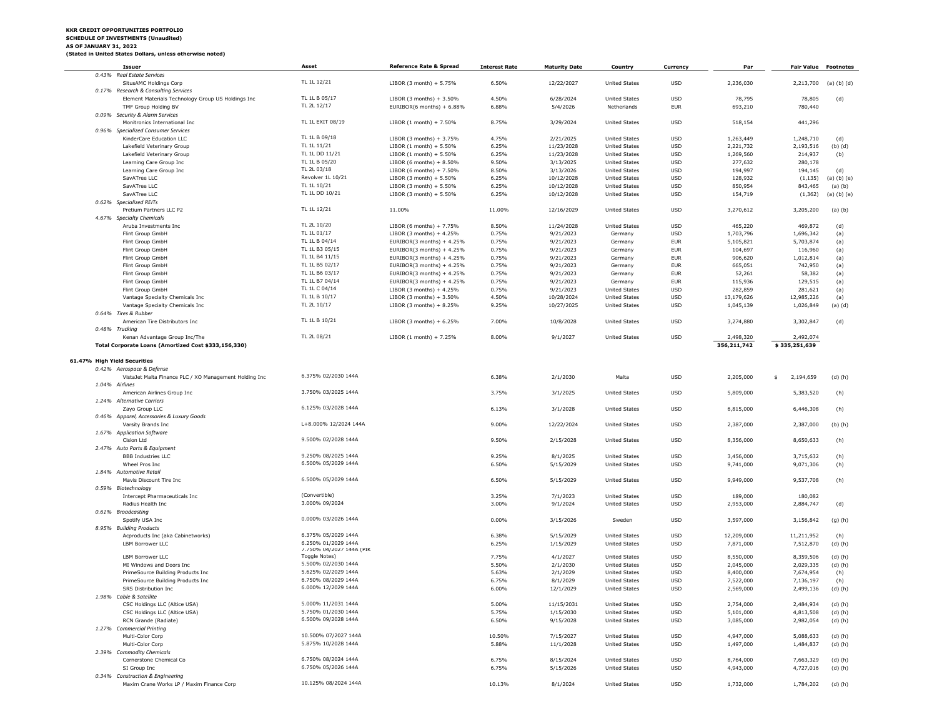## **KKR CREDIT OPPORTUNITIES PORTFOLIO SCHEDULE OF INVESTMENTS (Unaudited)**

## **AS OF JANUARY 31, 2022**

**(Stated in United States Dollars, unless otherwise noted)**

| Issuer                                                 | Asset                    | <b>Reference Rate &amp; Spread</b> | <b>Interest Rate</b> | <b>Maturity Date</b> | Country              | Currency   | Par         | <b>Fair Value Footnotes</b> |             |
|--------------------------------------------------------|--------------------------|------------------------------------|----------------------|----------------------|----------------------|------------|-------------|-----------------------------|-------------|
| 0.43% Real Estate Services                             |                          |                                    |                      |                      |                      |            |             |                             |             |
| SitusAMC Holdings Corp                                 | TL 1L 12/21              | LIBOR (3 month) + 5.75%            | 6.50%                | 12/22/2027           | <b>United States</b> | USD        | 2,236,030   | 2,213,700                   | (a) (b) (d) |
|                                                        |                          |                                    |                      |                      |                      |            |             |                             |             |
| 0.17% Research & Consulting Services                   |                          |                                    |                      |                      |                      |            |             |                             |             |
| Element Materials Technology Group US Holdings Inc     | TL 1L B 05/17            | LIBOR $(3$ months) + 3.50%         | 4.50%                | 6/28/2024            | <b>United States</b> | USD        | 78,795      | 78,805                      | (d)         |
| TMF Group Holding BV                                   | TL 2L 12/17              | EURIBOR(6 months) + 6.88%          | 6.88%                | 5/4/2026             | Netherlands          | <b>EUR</b> | 693,210     | 780,440                     |             |
| 0.09% Security & Alarm Services                        |                          |                                    |                      |                      |                      |            |             |                             |             |
| Monitronics International Inc                          | TL 1L EXIT 08/19         | LIBOR (1 month) + 7.50%            | 8.75%                | 3/29/2024            | <b>United States</b> | <b>USD</b> | 518,154     | 441,296                     |             |
| <b>Specialized Consumer Services</b><br>0.96%          |                          |                                    |                      |                      |                      |            |             |                             |             |
| KinderCare Education LLC                               | TL 1L B 09/18            | LIBOR (3 months) + 3.75%           | 4.75%                | 2/21/2025            | <b>United States</b> | <b>USD</b> | 1,263,449   | 1,248,710                   | (d)         |
|                                                        |                          |                                    |                      |                      |                      |            |             |                             |             |
| Lakefield Veterinary Group                             | TL 1L 11/21              | LIBOR $(1 \text{ month}) + 5.50\%$ | 6.25%                | 11/23/2028           | <b>United States</b> | <b>USD</b> | 2,221,732   | 2,193,516                   | $(b)$ $(d)$ |
| Lakefield Veterinary Group                             | TL 1L DD 11/21           | LIBOR $(1 \text{ month}) + 5.50\%$ | 6.25%                | 11/23/2028           | <b>United States</b> | <b>USD</b> | 1,269,560   | 214,937                     | (b)         |
| Learning Care Group Inc                                | TL 1L B 05/20            | LIBOR (6 months) + $8.50\%$        | 9.50%                | 3/13/2025            | <b>United States</b> | <b>USD</b> | 277,632     | 280,178                     |             |
| Learning Care Group Inc                                | TL 2L 03/18              | LIBOR (6 months) + $7.50\%$        | 8.50%                | 3/13/2026            | <b>United States</b> | <b>USD</b> | 194,997     | 194,145                     | (d)         |
| SavATree LLC                                           | Revolver 1L 10/21        | LIBOR $(3 \text{ month}) + 5.50\%$ | 6.25%                | 10/12/2028           | <b>United States</b> | <b>USD</b> | 128,932     | (1, 135)                    | (a) (b) (e) |
|                                                        | TL 1L 10/21              |                                    |                      |                      |                      |            |             |                             |             |
| SavATree LLC                                           |                          | LIBOR $(3 \text{ month}) + 5.50\%$ | 6.25%                | 10/12/2028           | <b>United States</b> | <b>USD</b> | 850,954     | 843,465                     | $(a)$ $(b)$ |
| SavATree LLC                                           | TL 1L DD 10/21           | LIBOR $(3 \text{ month}) + 5.50\%$ | 6.25%                | 10/12/2028           | <b>United States</b> | <b>USD</b> | 154,719     | (1, 362)                    | (a) (b) (e) |
| 0.62% Specialized REITs                                |                          |                                    |                      |                      |                      |            |             |                             |             |
| Pretium Partners LLC P2                                | TL 1L 12/21              | 11.00%                             | 11.00%               | 12/16/2029           | <b>United States</b> | <b>USD</b> | 3,270,612   | 3,205,200                   | $(a)$ $(b)$ |
| 4.67% Specialty Chemicals                              |                          |                                    |                      |                      |                      |            |             |                             |             |
| Aruba Investments Inc                                  | TL 2L 10/20              | LIBOR (6 months) + $7.75\%$        | 8.50%                | 11/24/2028           | <b>United States</b> | <b>USD</b> | 465,220     | 469,872                     | (d)         |
|                                                        | TL 1L 01/17              |                                    |                      |                      |                      |            |             |                             |             |
| Flint Group GmbH                                       |                          | LIBOR $(3$ months) + 4.25%         | 0.75%                | 9/21/2023            | Germany              | USD        | 1,703,796   | 1,696,342                   | (a)         |
| Flint Group GmbH                                       | TL 1L B 04/14            | EURIBOR(3 months) + 4.25%          | 0.75%                | 9/21/2023            | Germany              | <b>EUR</b> | 5,105,821   | 5,703,874                   | (a)         |
| Flint Group GmbH                                       | TL 1L B3 05/15           | EURIBOR(3 months) + $4.25%$        | 0.75%                | 9/21/2023            | Germany              | EUR        | 104,697     | 116,960                     | (a)         |
| Flint Group GmbH                                       | TL 1L B4 11/15           | EURIBOR(3 months) + 4.25%          | 0.75%                | 9/21/2023            | Germany              | <b>EUR</b> | 906,620     | 1,012,814                   | (a)         |
| Flint Group GmbH                                       | TL 1L B5 02/17           | EURIBOR(3 months) + 4.25%          | 0.75%                | 9/21/2023            | Germany              | <b>EUR</b> | 665,051     | 742,950                     | (a)         |
|                                                        | TL 1L B6 03/17           |                                    | 0.75%                |                      |                      | <b>EUR</b> |             |                             |             |
| Flint Group GmbH                                       |                          | EURIBOR(3 months) + 4.25%          |                      | 9/21/2023            | Germany              |            | 52,261      | 58,382                      | (a)         |
| Flint Group GmbH                                       | TL 1L B7 04/14           | EURIBOR(3 months) + $4.25%$        | 0.75%                | 9/21/2023            | Germany              | <b>EUR</b> | 115,936     | 129,515                     | (a)         |
| Flint Group GmbH                                       | TL 1L C 04/14            | LIBOR (3 months) + $4.25\%$        | 0.75%                | 9/21/2023            | <b>United States</b> | <b>USD</b> | 282,859     | 281,621                     | (a)         |
| Vantage Specialty Chemicals Inc                        | TL 1L B 10/17            | LIBOR $(3$ months) + 3.50%         | 4.50%                | 10/28/2024           | <b>United States</b> | USD        | 13,179,626  | 12,985,226                  | (a)         |
| Vantage Specialty Chemicals Inc                        | TL 2L 10/17              | LIBOR (3 months) + $8.25\%$        | 9.25%                | 10/27/2025           | <b>United States</b> | <b>USD</b> | 1,045,139   | 1,026,849                   | $(a)$ $(d)$ |
|                                                        |                          |                                    |                      |                      |                      |            |             |                             |             |
| 0.64% Tires & Rubber                                   |                          |                                    |                      |                      |                      |            |             |                             |             |
| American Tire Distributors Inc                         | TL 1L B 10/21            | LIBOR $(3$ months) + 6.25%         | 7.00%                | 10/8/2028            | <b>United States</b> | <b>USD</b> | 3,274,880   | 3,302,847                   | (d)         |
| 0.48% Trucking                                         |                          |                                    |                      |                      |                      |            |             |                             |             |
| Kenan Advantage Group Inc/The                          | TL 2L 08/21              | LIBOR (1 month) + 7.25%            | 8.00%                | 9/1/2027             | <b>United States</b> | <b>USD</b> | 2,498,320   | 2,492,074                   |             |
| Total Corporate Loans (Amortized Cost \$333,156,330)   |                          |                                    |                      |                      |                      |            | 356,211,742 | \$335,251,639               |             |
|                                                        |                          |                                    |                      |                      |                      |            |             |                             |             |
|                                                        |                          |                                    |                      |                      |                      |            |             |                             |             |
| 61.47% High Yield Securities                           |                          |                                    |                      |                      |                      |            |             |                             |             |
| 0.42% Aerospace & Defense                              |                          |                                    |                      |                      |                      |            |             |                             |             |
| VistaJet Malta Finance PLC / XO Management Holding Inc | 6.375% 02/2030 144A      |                                    | 6.38%                | 2/1/2030             | Malta                | <b>USD</b> | 2,205,000   | 2,194,659<br>\$             | $(d)$ $(h)$ |
| 1.04% Airlines                                         |                          |                                    |                      |                      |                      |            |             |                             |             |
| American Airlines Group Inc                            | 3.750% 03/2025 144A      |                                    | 3.75%                | 3/1/2025             | <b>United States</b> | <b>USD</b> | 5,809,000   | 5,383,520                   |             |
|                                                        |                          |                                    |                      |                      |                      |            |             |                             | (h)         |
| 1.24% Alternative Carriers                             |                          |                                    |                      |                      |                      |            |             |                             |             |
| Zayo Group LLC                                         | 6.125% 03/2028 144A      |                                    | 6.13%                | 3/1/2028             | <b>United States</b> | <b>USD</b> | 6,815,000   | 6,446,308                   | (h)         |
| 0.46% Apparel, Accessories & Luxury Goods              |                          |                                    |                      |                      |                      |            |             |                             |             |
| Varsity Brands Inc                                     | L+8.000% 12/2024 144A    |                                    | 9.00%                | 12/22/2024           | <b>United States</b> | <b>USD</b> | 2,387,000   | 2,387,000                   | $(b)$ $(h)$ |
| 1.67% Application Software                             |                          |                                    |                      |                      |                      |            |             |                             |             |
|                                                        | 9.500% 02/2028 144A      |                                    |                      |                      |                      |            |             |                             |             |
| Cision Ltd                                             |                          |                                    | 9.50%                | 2/15/2028            | <b>United States</b> | <b>USD</b> | 8,356,000   | 8,650,633                   | (h)         |
| 2.47% Auto Parts & Equipment                           |                          |                                    |                      |                      |                      |            |             |                             |             |
| <b>BBB Industries LLC</b>                              | 9.250% 08/2025 144A      |                                    | 9.25%                | 8/1/2025             | <b>United States</b> | <b>USD</b> | 3,456,000   | 3,715,632                   | (h)         |
| Wheel Pros Inc                                         | 6.500% 05/2029 144A      |                                    | 6.50%                | 5/15/2029            | <b>United States</b> | USD        | 9,741,000   | 9,071,306                   | (h)         |
| 1.84% Automotive Retail                                |                          |                                    |                      |                      |                      |            |             |                             |             |
|                                                        | 6.500% 05/2029 144A      |                                    |                      | 5/15/2029            |                      | <b>USD</b> |             |                             |             |
| Mavis Discount Tire Inc                                |                          |                                    | 6.50%                |                      | <b>United States</b> |            | 9,949,000   | 9,537,708                   | (h)         |
| 0.59% Biotechnology                                    |                          |                                    |                      |                      |                      |            |             |                             |             |
| Intercept Pharmaceuticals Inc                          | (Convertible)            |                                    | 3.25%                | 7/1/2023             | <b>United States</b> | USD        | 189,000     | 180,082                     |             |
| Radius Health Inc                                      | 3.000% 09/2024           |                                    | 3.00%                | 9/1/2024             | <b>United States</b> | <b>USD</b> | 2,953,000   | 2,884,747                   | (d)         |
| 0.61% Broadcasting                                     |                          |                                    |                      |                      |                      |            |             |                             |             |
| Spotify USA Inc                                        | 0.000% 03/2026 144A      |                                    | $0.00\%$             | 3/15/2026            | Sweden               | <b>USD</b> | 3,597,000   | 3,156,842                   | (g)(h)      |
| 8.95% Building Products                                |                          |                                    |                      |                      |                      |            |             |                             |             |
|                                                        |                          |                                    |                      |                      |                      |            |             |                             |             |
| Acproducts Inc (aka Cabinetworks)                      | 6.375% 05/2029 144A      |                                    | 6.38%                | 5/15/2029            | <b>United States</b> | <b>USD</b> | 12,209,000  | 11,211,952                  | (h)         |
| LBM Borrower LLC                                       | 6.250% 01/2029 144A      |                                    | 6.25%                | 1/15/2029            | <b>United States</b> | USD        | 7,871,000   | 7,512,870                   | $(d)$ $(h)$ |
|                                                        | 7.750% 04/2027 144A (PIK |                                    |                      |                      |                      |            |             |                             |             |
| <b>LBM Borrower LLC</b>                                | Toggle Notes)            |                                    | 7.75%                | 4/1/2027             | <b>United States</b> | <b>USD</b> | 8,550,000   | 8,359,506                   | $(d)$ $(h)$ |
| MI Windows and Doors Inc                               | 5.500% 02/2030 144A      |                                    | 5.50%                | 2/1/2030             | <b>United States</b> | <b>USD</b> | 2,045,000   | 2,029,335                   | $(d)$ $(h)$ |
| PrimeSource Building Products Inc                      | 5.625% 02/2029 144A      |                                    | 5.63%                | 2/1/2029             | <b>United States</b> | <b>USD</b> | 8,400,000   | 7,674,954                   | (h)         |
|                                                        | 6.750% 08/2029 144A      |                                    |                      |                      | <b>United States</b> |            |             |                             |             |
| PrimeSource Building Products Inc                      |                          |                                    | 6.75%                | 8/1/2029             |                      | <b>USD</b> | 7,522,000   | 7,136,197                   | (h)         |
| SRS Distribution Inc                                   | 6.000% 12/2029 144A      |                                    | 6.00%                | 12/1/2029            | <b>United States</b> | USD        | 2,569,000   | 2,499,136                   | $(d)$ $(h)$ |
| 1.98% Cable & Satellite                                |                          |                                    |                      |                      |                      |            |             |                             |             |
| CSC Holdings LLC (Altice USA)                          | 5.000% 11/2031 144A      |                                    | 5.00%                | 11/15/2031           | <b>United States</b> | USD        | 2,754,000   | 2,484,934                   | $(d)$ $(h)$ |
| CSC Holdings LLC (Altice USA)                          | 5.750% 01/2030 144A      |                                    | 5.75%                | 1/15/2030            | <b>United States</b> | <b>USD</b> | 5,101,000   | 4,813,508                   | $(d)$ $(h)$ |
|                                                        | 6.500% 09/2028 144A      |                                    |                      |                      |                      |            |             |                             |             |
| RCN Grande (Radiate)                                   |                          |                                    | 6.50%                | 9/15/2028            | <b>United States</b> | USD        | 3,085,000   | 2,982,054                   | $(d)$ $(h)$ |
| 1.27% Commercial Printing                              |                          |                                    |                      |                      |                      |            |             |                             |             |
| Multi-Color Corp                                       | 10.500% 07/2027 144A     |                                    | 10.50%               | 7/15/2027            | <b>United States</b> | USD        | 4,947,000   | 5,088,633                   | $(d)$ $(h)$ |
| Multi-Color Corp                                       | 5.875% 10/2028 144A      |                                    | 5.88%                | 11/1/2028            | <b>United States</b> | <b>USD</b> | 1,497,000   | 1,484,837                   | $(d)$ $(h)$ |
| 2.39% Commodity Chemicals                              |                          |                                    |                      |                      |                      |            |             |                             |             |
|                                                        |                          |                                    |                      |                      |                      |            |             |                             |             |
| Cornerstone Chemical Co                                | 6.750% 08/2024 144A      |                                    | 6.75%                | 8/15/2024            | <b>United States</b> | <b>USD</b> | 8,764,000   | 7,663,329                   | $(d)$ $(h)$ |
| SI Group Inc                                           | 6.750% 05/2026 144A      |                                    | 6.75%                | 5/15/2026            | <b>United States</b> | USD        | 4,943,000   | 4,727,016                   | $(d)$ $(h)$ |
| 0.34% Construction & Engineering                       |                          |                                    |                      |                      |                      |            |             |                             |             |
| Maxim Crane Works LP / Maxim Finance Corp              | 10.125% 08/2024 144A     |                                    | 10.13%               | 8/1/2024             | <b>United States</b> | USD        | 1,732,000   | 1,784,202                   | (d) (h)     |
|                                                        |                          |                                    |                      |                      |                      |            |             |                             |             |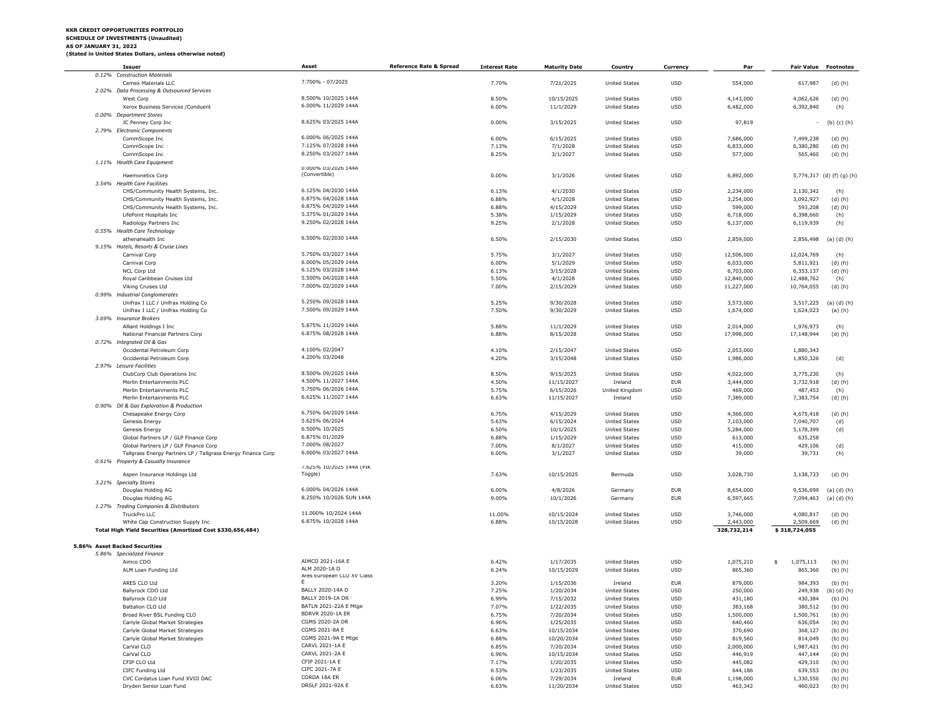### **KKR CREDIT OPPORTUNITIES PORTFOLIO SCHEDULE OF INVESTMENTS (Unaudited) AS OF JANUARY 31, 2022**

## **(Stated in United States Dollars, unless otherwise noted)**

| Issuer                                                       | Asset                      | Reference Rate & Spread | <b>Interest Rate</b> | <b>Maturity Date</b> | Country              | Currency   | Par         | <b>Fair Value</b> | <b>Footnotes</b>          |
|--------------------------------------------------------------|----------------------------|-------------------------|----------------------|----------------------|----------------------|------------|-------------|-------------------|---------------------------|
| 0.12%<br><b>Construction Materials</b>                       |                            |                         |                      |                      |                      |            |             |                   |                           |
| Cemex Materials LLC                                          | 7.700% - 07/2025           |                         | 7.70%                | 7/21/2025            | <b>United States</b> | <b>USD</b> | 554,000     | 617,987           | $(d)$ $(h)$               |
| 2.02% Data Processing & Outsourced Services                  |                            |                         |                      |                      |                      |            |             |                   |                           |
| West Corp                                                    | 8.500% 10/2025 144A        |                         | 8.50%                | 10/15/2025           | <b>United States</b> | <b>USD</b> | 4,143,000   | 4,062,626         | $(d)$ $(h)$               |
| Xerox Business Services / Conduent                           | 6.000% 11/2029 144A        |                         | 6.00%                | 11/1/2029            | <b>United States</b> | <b>USD</b> | 6,482,000   | 6,392,840         | (h)                       |
| 0.00% Department Stores                                      |                            |                         |                      |                      |                      |            |             |                   |                           |
| JC Penney Corp Inc                                           | 8.625% 03/2025 144A        |                         | 0.00%                | 3/15/2025            | <b>United States</b> | <b>USD</b> | 97,819      |                   |                           |
|                                                              |                            |                         |                      |                      |                      |            |             |                   | (b) (c) (h)               |
| 2.79% Electronic Components                                  | 6.000% 06/2025 144A        |                         |                      |                      |                      |            |             |                   |                           |
| CommScope Inc                                                |                            |                         | 6.00%                | 6/15/2025            | <b>United States</b> | <b>USD</b> | 7,686,000   | 7,499,238         | $(d)$ $(h)$               |
| CommScope Inc                                                | 7.125% 07/2028 144A        |                         | 7.13%                | 7/1/2028             | <b>United States</b> | <b>USD</b> | 6,833,000   | 6,380,280         | $(d)$ $(h)$               |
| CommScope Inc                                                | 8.250% 03/2027 144A        |                         | 8.25%                | 3/1/2027             | <b>United States</b> | <b>USD</b> | 577,000     | 565,460           | $(d)$ $(h)$               |
| 1.11% Health Care Equipment                                  |                            |                         |                      |                      |                      |            |             |                   |                           |
|                                                              | 0.000% 03/2026 144A        |                         |                      |                      |                      |            |             |                   |                           |
| Haemonetics Corp                                             | (Convertible)              |                         | 0.00%                | 3/1/2026             | <b>United States</b> | <b>USD</b> | 6,892,000   |                   | 5,774,317 (d) (f) (g) (h) |
| 3.54% Health Care Facilities                                 |                            |                         |                      |                      |                      |            |             |                   |                           |
| CHS/Community Health Systems, Inc.                           | 6.125% 04/2030 144A        |                         | 6.13%                | 4/1/2030             | <b>United States</b> | <b>USD</b> | 2,234,000   | 2,130,342         | (h)                       |
| CHS/Community Health Systems, Inc.                           | 6.875% 04/2028 144A        |                         | 6.88%                | 4/1/2028             | <b>United States</b> | <b>USD</b> | 3,254,000   | 3,092,927         | $(d)$ $(h)$               |
| CHS/Community Health Systems, Inc.                           | 6.875% 04/2029 144A        |                         | 6.88%                | 4/15/2029            | <b>United States</b> | <b>USD</b> | 599,000     | 593,208           | $(d)$ $(h)$               |
| LifePoint Hospitals Inc                                      | 5.375% 01/2029 144A        |                         | 5.38%                | 1/15/2029            | <b>United States</b> | <b>USD</b> | 6,718,000   | 6,398,660         | (h)                       |
| Radiology Partners Inc                                       | 9.250% 02/2028 144A        |                         | 9.25%                | 2/1/2028             | <b>United States</b> | <b>USD</b> | 6,137,000   | 6,119,939         | (h)                       |
| 0.55% Health Care Technology                                 |                            |                         |                      |                      |                      |            |             |                   |                           |
| athenahealth Inc                                             | 6.500% 02/2030 144A        |                         | 6.50%                | 2/15/2030            | <b>United States</b> | <b>USD</b> | 2,859,000   | 2,856,498         | (a) (d) (h)               |
| 9.15% Hotels, Resorts & Cruise Lines                         |                            |                         |                      |                      |                      |            |             |                   |                           |
|                                                              | 5.750% 03/2027 144A        |                         |                      |                      |                      |            |             |                   |                           |
| Carnival Corp                                                |                            |                         | 5.75%                | 3/1/2027             | <b>United States</b> | <b>USD</b> | 12,506,000  | 12,024,769        | (h)                       |
| Carnival Corp                                                | 6.000% 05/2029 144A        |                         | 6.00%                | 5/1/2029             | <b>United States</b> | <b>USD</b> | 6,033,000   | 5,811,921         | $(d)$ $(h)$               |
| <b>NCL Corp Ltd</b>                                          | 6.125% 03/2028 144A        |                         | 6.13%                | 3/15/2028            | <b>United States</b> | <b>USD</b> | 6,703,000   | 6,353,137         | $(d)$ $(h)$               |
| Royal Caribbean Cruises Ltd                                  | 5.500% 04/2028 144A        |                         | 5.50%                | 4/1/2028             | <b>United States</b> | <b>USD</b> | 12,840,000  | 12,488,762        | (h)                       |
| Viking Cruises Ltd                                           | 7.000% 02/2029 144A        |                         | 7.00%                | 2/15/2029            | <b>United States</b> | <b>USD</b> | 11,227,000  | 10,764,055        | $(d)$ $(h)$               |
| 0.99% Industrial Conglomerates                               |                            |                         |                      |                      |                      |            |             |                   |                           |
| Unifrax I LLC / Unifrax Holding Co                           | 5.250% 09/2028 144A        |                         | 5.25%                | 9/30/2028            | <b>United States</b> | <b>USD</b> | 3,573,000   | 3,517,225         | (a) (d) (h)               |
| Unifrax I LLC / Unifrax Holding Co                           | 7.500% 09/2029 144A        |                         | 7.50%                | 9/30/2029            | <b>United States</b> | <b>USD</b> | 1,674,000   | 1,624,023         | (a) (h)                   |
| 3.69% Insurance Brokers                                      |                            |                         |                      |                      |                      |            |             |                   |                           |
|                                                              | 5.875% 11/2029 144A        |                         | 5.88%                |                      |                      |            |             |                   |                           |
| Alliant Holdings I Inc                                       | 6.875% 08/2028 144A        |                         |                      | 11/1/2029            | <b>United States</b> | <b>USD</b> | 2,014,000   | 1,976,973         | (h)                       |
| National Financial Partners Corp                             |                            |                         | 6.88%                | 8/15/2028            | <b>United States</b> | <b>USD</b> | 17,998,000  | 17,148,944        | $(d)$ $(h)$               |
| 0.72% Integrated Oil & Gas                                   |                            |                         |                      |                      |                      |            |             |                   |                           |
| Occidental Petroleum Corp                                    | 4.100% 02/2047             |                         | 4.10%                | 2/15/2047            | <b>United States</b> | <b>USD</b> | 2,053,000   | 1,880,343         |                           |
| Occidental Petroleum Corp                                    | 4.200% 03/2048             |                         | 4.20%                | 3/15/2048            | <b>United States</b> | <b>USD</b> | 1,986,000   | 1,850,326         | (d)                       |
| 2.97% Leisure Facilities                                     |                            |                         |                      |                      |                      |            |             |                   |                           |
| ClubCorp Club Operations Inc                                 | 8.500% 09/2025 144A        |                         | 8.50%                | 9/15/2025            | <b>United States</b> | <b>USD</b> | 4,022,000   | 3,775,230         | (h)                       |
| Merlin Entertainments PLC                                    | 4.500% 11/2027 144A        |                         | 4.50%                | 11/15/2027           | Ireland              | <b>EUR</b> | 3,444,000   | 3,732,918         | $(d)$ $(h)$               |
| Merlin Entertainments PLC                                    | 5.750% 06/2026 144A        |                         | 5.75%                | 6/15/2026            | United Kingdom       | <b>USD</b> | 469,000     | 487,453           | (h)                       |
| Merlin Entertainments PLC                                    | 6.625% 11/2027 144A        |                         | 6.63%                | 11/15/2027           | Ireland              | <b>USD</b> | 7,389,000   | 7,383,754         | $(d)$ $(h)$               |
|                                                              |                            |                         |                      |                      |                      |            |             |                   |                           |
| 0.90% Oil & Gas Exploration & Production                     |                            |                         |                      |                      |                      |            |             |                   |                           |
| Chesapeake Energy Corp                                       | 6.750% 04/2029 144A        |                         | 6.75%                | 4/15/2029            | <b>United States</b> | <b>USD</b> | 4,366,000   | 4,675,418         | $(d)$ $(h)$               |
| Genesis Energy                                               | 5.625% 06/2024             |                         | 5.63%                | 6/15/2024            | <b>United States</b> | <b>USD</b> | 7,103,000   | 7,040,707         | (d)                       |
| Genesis Energy                                               | 6.500% 10/2025             |                         | 6.50%                | 10/1/2025            | <b>United States</b> | <b>USD</b> | 5,284,000   | 5,178,399         | (d)                       |
| Global Partners LP / GLP Finance Corp                        | 6.875% 01/2029             |                         | 6.88%                | 1/15/2029            | <b>United States</b> | <b>USD</b> | 613,000     | 635,258           |                           |
| Global Partners LP / GLP Finance Corp                        | 7.000% 08/2027             |                         | 7.00%                | 8/1/2027             | <b>United States</b> | <b>USD</b> | 415,000     | 429,106           | (d)                       |
| Tallgrass Energy Partners LP / Tallgrass Energy Finance Corp | 6.000% 03/2027 144A        |                         | 6.00%                | 3/1/2027             | <b>United States</b> | <b>USD</b> | 39,000      | 39,731            | (h)                       |
| 0.61% Property & Casualty Insurance                          |                            |                         |                      |                      |                      |            |             |                   |                           |
|                                                              | /.625% 10/2025 144A (PIK   |                         |                      |                      |                      |            |             |                   |                           |
| Aspen Insurance Holdings Ltd                                 | Toggle)                    |                         | 7.63%                | 10/15/2025           | Bermuda              | <b>USD</b> | 3,028,730   | 3,138,733         | $(d)$ $(h)$               |
| 3.21% Specialty Stores                                       |                            |                         |                      |                      |                      |            |             |                   |                           |
| Douglas Holding AG                                           | 6.000% 04/2026 144A        |                         | 6.00%                | 4/8/2026             | Germany              | <b>EUR</b> | 8,654,000   | 9,536,699         | (a) (d) (h)               |
| Douglas Holding AG                                           | 8.250% 10/2026 SUN 144A    |                         | 9.00%                | 10/1/2026            | Germany              | <b>EUR</b> | 6,597,665   | 7,094,463         | (a) (d) (h)               |
| 1.27% Trading Companies & Distributors                       |                            |                         |                      |                      |                      |            |             |                   |                           |
| TruckPro LLC                                                 | 11.000% 10/2024 144A       |                         | 11.00%               | 10/15/2024           | <b>United States</b> | <b>USD</b> | 3,746,000   |                   |                           |
|                                                              | 6.875% 10/2028 144A        |                         |                      |                      |                      |            |             | 4,080,817         | $(d)$ $(h)$               |
| White Cap Construction Supply Inc                            |                            |                         | 6.88%                | 10/15/2028           | <b>United States</b> | <b>USD</b> | 2,443,000   | 2,509,669         | $(d)$ $(h)$               |
| Total High Yield Securities (Amortized Cost \$330,656,484)   |                            |                         |                      |                      |                      |            | 328,732,214 | \$318,724,055     |                           |
|                                                              |                            |                         |                      |                      |                      |            |             |                   |                           |
| 5.86% Asset Backed Securities                                |                            |                         |                      |                      |                      |            |             |                   |                           |
| 5.86% Specialized Finance                                    |                            |                         |                      |                      |                      |            |             |                   |                           |
| Aimco CDO                                                    | AIMCO 2021-16A E           |                         | 6.42%                | 1/17/2035            | <b>United States</b> | <b>USD</b> | 1,075,210   | 1,075,113<br>\$   | $(b)$ $(h)$               |
| ALM Loan Funding Ltd                                         | ALM 2020-1A D              |                         | 6.24%                | 10/15/2029           | <b>United States</b> | <b>USD</b> | 865,360     | 865,360           | $(b)$ $(h)$               |
|                                                              | Ares European CLO XV Class |                         |                      |                      |                      |            |             |                   |                           |
| ARES CLO Ltd                                                 | E                          |                         | 3.20%                | 1/15/2036            | Ireland              | <b>FUR</b> | 879,000     | 984,393           | $(b)$ $(h)$               |
| Ballyrock CDO Ltd                                            | BALLY 2020-14A D           |                         | 7.25%                | 1/20/2034            | <b>United States</b> | USD        | 250,000     | 249,938           | $(b)$ $(d)$ $(h)$         |
| Ballyrock CLO Ltd                                            | <b>BALLY 2019-1A DR</b>    |                         | 6.99%                | 7/15/2032            | <b>United States</b> | <b>USD</b> | 431,180     | 430,384           | $(b)$ $(h)$               |
| Battalion CLO Ltd                                            | BATLN 2021-22A E Mtge      |                         | 7.07%                | 1/22/2035            | <b>United States</b> | <b>USD</b> | 383,168     | 380,512           | $(b)$ $(h)$               |
| Broad River BSL Funding CLO                                  | <b>BDRVR 2020-1A ER</b>    |                         | 6.75%                | 7/20/2034            | <b>United States</b> | <b>USD</b> | 1,500,000   | 1,500,761         | $(b)$ $(h)$               |
| Carlyle Global Market Strategies                             | CGMS 2020-2A DR            |                         |                      |                      |                      |            |             |                   |                           |
|                                                              |                            |                         | 6.96%                | 1/25/2035            | <b>United States</b> | <b>USD</b> | 640,460     | 636,054           | $(b)$ $(h)$               |
| Carlyle Global Market Strategies                             | CGMS 2021-8A E             |                         | 6.63%                | 10/15/2034           | <b>United States</b> | <b>USD</b> | 370,690     | 368,127           | $(b)$ $(h)$               |
| Carlyle Global Market Strategies                             | CGMS 2021-9A E Mtge        |                         | 6.88%                | 10/20/2034           | <b>United States</b> | <b>USD</b> | 819,560     | 814,049           | $(b)$ $(h)$               |
| CarVal CLO                                                   | CARVL 2021-1A E            |                         | 6.85%                | 7/20/2034            | <b>United States</b> | <b>USD</b> | 2,000,000   | 1,987,421         | $(b)$ $(h)$               |
| CarVal CLO                                                   | CARVL 2021-2A E            |                         | 6.96%                | 10/15/2034           | <b>United States</b> | <b>USD</b> | 446,919     | 447,144           | $(b)$ $(h)$               |
| CFIP CLO Ltd                                                 | CFIP 2021-1A E             |                         | 7.17%                | 1/20/2035            | <b>United States</b> | <b>USD</b> | 445,082     | 429,310           | $(b)$ $(h)$               |
| CIFC Funding Ltd                                             | CIFC 2021-7A E             |                         | 6.53%                | 1/23/2035            | <b>United States</b> | <b>USD</b> | 644,186     | 639,553           | $(b)$ $(h)$               |
| CVC Cordatus Loan Fund XVIII DAC                             | CORDA 18A ER               |                         | 6.06%                | 7/29/2034            | Ireland              | <b>EUR</b> | 1,198,000   | 1,330,556         | $(b)$ $(h)$               |
| Dryden Senior Loan Fund                                      | DRSLF 2021-92A E           |                         | 6.63%                | 11/20/2034           | <b>United States</b> | <b>USD</b> | 463,342     | 460,023           | $(b)$ $(h)$               |
|                                                              |                            |                         |                      |                      |                      |            |             |                   |                           |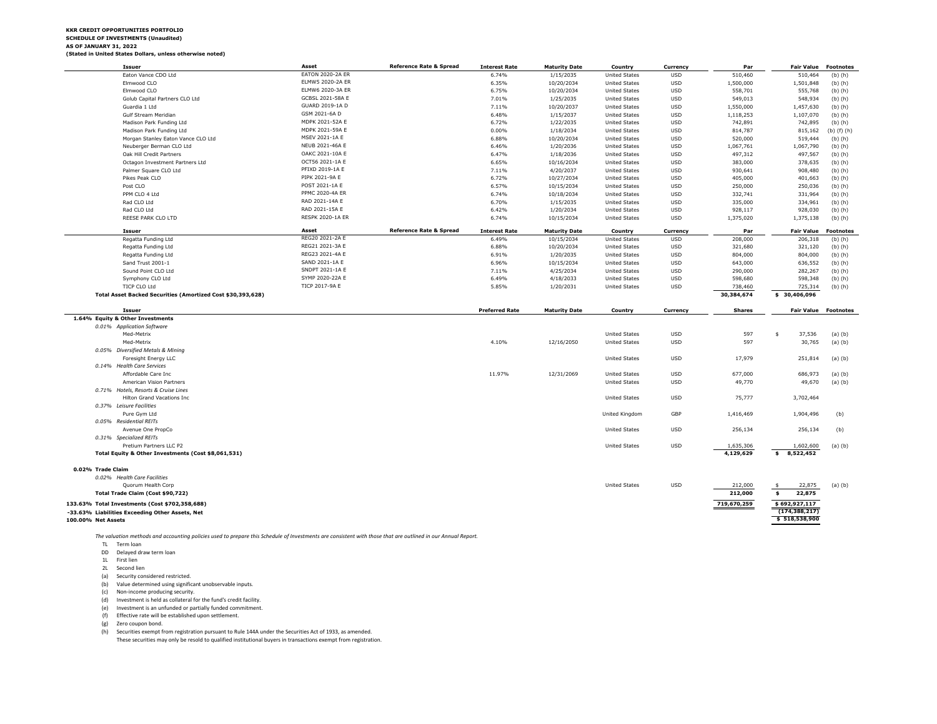### **KKR CREDIT OPPORTUNITIES PORTFOLIO SCHEDULE OF INVESTMENTS (Unaudited) AS OF JANUARY 31, 2022 (Stated in United States Dollars, unless otherwise noted)**

| Issuer                                                                | Asset                   | <b>Reference Rate &amp; Spread</b> | <b>Interest Rate</b>  | <b>Maturity Date</b> | Country              | Currency   | Par           | <b>Fair Value</b>                 | <b>Footnotes</b>            |
|-----------------------------------------------------------------------|-------------------------|------------------------------------|-----------------------|----------------------|----------------------|------------|---------------|-----------------------------------|-----------------------------|
| Eaton Vance CDO Ltd                                                   | <b>EATON 2020-2A ER</b> |                                    | 6.74%                 | 1/15/2035            | <b>United States</b> | <b>USD</b> | 510,460       | 510,464                           | $(b)$ $(h)$                 |
| Elmwood CLO                                                           | ELMW5 2020-2A ER        |                                    | 6.35%                 | 10/20/2034           | <b>United States</b> | <b>USD</b> | 1,500,000     | 1,501,848                         | $(b)$ $(h)$                 |
| Elmwood CLO                                                           | ELMW6 2020-3A ER        |                                    | 6.75%                 | 10/20/2034           | <b>United States</b> | <b>USD</b> | 558,701       | 555,768                           | $(b)$ $(h)$                 |
| Golub Capital Partners CLO Ltd                                        | GCBSL 2021-58A E        |                                    | 7.01%                 | 1/25/2035            | <b>United States</b> | <b>USD</b> | 549,013       | 548,934                           | $(b)$ $(h)$                 |
| Guardia 1 Ltd                                                         | GUARD 2019-1A D         |                                    | 7.11%                 | 10/20/2037           | <b>United States</b> | <b>USD</b> | 1,550,000     | 1,457,630                         | $(b)$ $(h)$                 |
| Gulf Stream Meridian                                                  | GSM 2021-6A D           |                                    | 6.48%                 | 1/15/2037            | <b>United States</b> | <b>USD</b> | 1,118,253     | 1,107,070                         | $(b)$ $(h)$                 |
| Madison Park Funding Ltd                                              | MDPK 2021-52A E         |                                    | 6.72%                 | 1/22/2035            | <b>United States</b> | <b>USD</b> | 742,891       | 742,895                           | $(b)$ $(h)$                 |
| Madison Park Funding Ltd                                              | MDPK 2021-59A E         |                                    | 0.00%                 | 1/18/2034            | <b>United States</b> | <b>USD</b> | 814,787       | 815,162                           | $(b)$ $(f)$ $(h)$           |
| Morgan Stanley Eaton Vance CLO Ltd                                    | MSEV 2021-1A E          |                                    | 6.88%                 | 10/20/2034           | <b>United States</b> | <b>USD</b> | 520,000       | 519,444                           | (b) (h)                     |
| Neuberger Berman CLO Ltd                                              | NEUB 2021-46A E         |                                    | 6.46%                 | 1/20/2036            | <b>United States</b> | <b>USD</b> | 1,067,761     | 1,067,790                         | $(b)$ $(h)$                 |
| Oak Hill Credit Partners                                              | OAKC 2021-10A E         |                                    | 6.47%                 | 1/18/2036            | <b>United States</b> | <b>USD</b> | 497,312       | 497,567                           | $(b)$ $(h)$                 |
| Octagon Investment Partners Ltd                                       | OCT56 2021-1A E         |                                    | 6.65%                 | 10/16/2034           | <b>United States</b> | <b>USD</b> | 383,000       | 378,635                           | $(b)$ $(h)$                 |
| Palmer Square CLO Ltd                                                 | PFIXD 2019-1A E         |                                    | 7.11%                 | 4/20/2037            | <b>United States</b> | <b>USD</b> | 930,641       | 908,480                           | $(b)$ $(h)$                 |
| Pikes Peak CLO                                                        | PIPK 2021-9A E          |                                    | 6.72%                 | 10/27/2034           | <b>United States</b> | <b>USD</b> | 405,000       | 401,663                           | $(b)$ $(h)$                 |
| Post CLO                                                              | POST 2021-1A E          |                                    | 6.57%                 | 10/15/2034           | <b>United States</b> | <b>USD</b> | 250,000       | 250,036                           | $(b)$ $(h)$                 |
| PPM CLO 4 Ltd                                                         | <b>PPMC 2020-4A ER</b>  |                                    | 6.74%                 | 10/18/2034           | <b>United States</b> | <b>USD</b> | 332,741       | 331,964                           | $(b)$ $(h)$                 |
| Rad CLO Ltd                                                           | RAD 2021-14A E          |                                    | 6.70%                 | 1/15/2035            | <b>United States</b> | <b>USD</b> | 335,000       | 334,961                           | $(b)$ $(h)$                 |
| Rad CLO Ltd                                                           | RAD 2021-15A E          |                                    | 6.42%                 | 1/20/2034            | <b>United States</b> | <b>USD</b> | 928,117       | 928,030                           | $(b)$ $(h)$                 |
| REESE PARK CLO LTD                                                    | <b>RESPK 2020-1A ER</b> |                                    | 6.74%                 | 10/15/2034           | <b>United States</b> | <b>USD</b> | 1,375,020     | 1,375,138                         | $(b)$ $(h)$                 |
|                                                                       |                         |                                    |                       |                      |                      |            |               |                                   |                             |
| Issuer                                                                | Asset                   | <b>Reference Rate &amp; Spread</b> | <b>Interest Rate</b>  | <b>Maturity Date</b> | Country              | Currency   | Par           | <b>Fair Value</b>                 | <b>Footnotes</b>            |
| Regatta Funding Ltd                                                   | REG20 2021-2A E         |                                    | 6.49%                 | 10/15/2034           | <b>United States</b> | <b>USD</b> | 208,000       | 206,318                           | $(b)$ $(h)$                 |
| Regatta Funding Ltd                                                   | REG21 2021-3A E         |                                    | 6.88%                 | 10/20/2034           | <b>United States</b> | <b>USD</b> | 321,680       | 321,120                           | $(b)$ $(h)$                 |
| Regatta Funding Ltd                                                   | REG23 2021-4A E         |                                    | 6.91%                 | 1/20/2035            | <b>United States</b> | <b>USD</b> | 804,000       | 804,000                           | $(b)$ $(h)$                 |
| Sand Trust 2001-1                                                     | SAND 2021-1A E          |                                    | 6.96%                 | 10/15/2034           | <b>United States</b> | <b>USD</b> | 643,000       | 636,552                           | $(b)$ $(h)$                 |
| Sound Point CLO Ltd                                                   | SNDPT 2021-1A E         |                                    | 7.11%                 | 4/25/2034            | <b>United States</b> | <b>USD</b> | 290,000       | 282,267                           | $(b)$ $(h)$                 |
| Symphony CLO Ltd                                                      | SYMP 2020-22A E         |                                    | 6.49%                 | 4/18/2033            | <b>United States</b> | <b>USD</b> | 598,680       | 598,348                           | $(b)$ $(h)$                 |
| TICP CLO Ltd                                                          | TICP 2017-9A E          |                                    | 5.85%                 | 1/20/2031            | <b>United States</b> | <b>USD</b> | 738,460       | 725,314                           | $(b)$ $(h)$                 |
| Total Asset Backed Securities (Amortized Cost \$30,393,628)           |                         |                                    |                       |                      |                      |            | 30,384,674    | \$ 30,406,096                     |                             |
|                                                                       |                         |                                    |                       |                      |                      |            |               |                                   |                             |
| <b>Issuer</b>                                                         |                         |                                    | <b>Preferred Rate</b> | <b>Maturity Date</b> | Country              | Currency   | <b>Shares</b> |                                   | <b>Fair Value Footnotes</b> |
| 1.64% Equity & Other Investments                                      |                         |                                    |                       |                      |                      |            |               |                                   |                             |
| 0.01% Application Software                                            |                         |                                    |                       |                      |                      |            |               |                                   |                             |
| Med-Metrix                                                            |                         |                                    |                       |                      | <b>United States</b> | <b>USD</b> | 597           | 37,536<br>$\overline{\mathbf{s}}$ | $(a)$ $(b)$                 |
| Med-Metrix                                                            |                         |                                    | 4.10%                 | 12/16/2050           | <b>United States</b> | <b>USD</b> | 597           | 30,765                            | $(a)$ $(b)$                 |
| 0.05% Diversified Metals & Mining                                     |                         |                                    |                       |                      |                      |            |               |                                   |                             |
| Foresight Energy LLC                                                  |                         |                                    |                       |                      | <b>United States</b> | <b>USD</b> | 17,979        | 251,814                           | $(a)$ $(b)$                 |
| 0.14% Health Care Services                                            |                         |                                    |                       |                      |                      |            |               |                                   |                             |
| Affordable Care Inc                                                   |                         |                                    | 11.97%                | 12/31/2069           | <b>United States</b> | <b>USD</b> | 677,000       | 686,973                           | $(a)$ $(b)$                 |
| American Vision Partners                                              |                         |                                    |                       |                      | <b>United States</b> | <b>USD</b> | 49,770        | 49,670                            | $(a)$ $(b)$                 |
| 0.71% Hotels, Resorts & Cruise Lines                                  |                         |                                    |                       |                      |                      |            |               |                                   |                             |
| Hilton Grand Vacations Inc                                            |                         |                                    |                       |                      | <b>United States</b> | <b>USD</b> | 75,777        | 3,702,464                         |                             |
| 0.37% Leisure Facilities                                              |                         |                                    |                       |                      |                      |            |               |                                   |                             |
| Pure Gym Ltd                                                          |                         |                                    |                       |                      | United Kingdom       | GBP        | 1,416,469     | 1,904,496                         | (b)                         |
| 0.05% Residential REITs                                               |                         |                                    |                       |                      |                      |            |               |                                   |                             |
| Avenue One PropCo                                                     |                         |                                    |                       |                      | <b>United States</b> | USD        | 256,134       | 256,134                           | (b)                         |
| 0.31% Specialized REITs                                               |                         |                                    |                       |                      |                      |            |               |                                   |                             |
| Pretium Partners LLC P2                                               |                         |                                    |                       |                      | <b>United States</b> | <b>USD</b> | 1,635,306     | 1,602,600                         | $(a)$ $(b)$                 |
| Total Equity & Other Investments (Cost \$8,061,531)                   |                         |                                    |                       |                      |                      |            | 4,129,629     | $\mathsf{s}$<br>8,522,452         |                             |
|                                                                       |                         |                                    |                       |                      |                      |            |               |                                   |                             |
| 0.02% Trade Claim                                                     |                         |                                    |                       |                      |                      |            |               |                                   |                             |
| 0.02% Health Care Facilities                                          |                         |                                    |                       |                      |                      |            |               |                                   |                             |
|                                                                       |                         |                                    |                       |                      |                      |            |               |                                   |                             |
|                                                                       |                         |                                    |                       |                      |                      |            |               |                                   |                             |
| Quorum Health Corp                                                    |                         |                                    |                       |                      | <b>United States</b> | <b>USD</b> | 212,000       | $\frac{1}{2}$<br>22,875           | $(a)$ $(b)$                 |
| Total Trade Claim (Cost \$90,722)                                     |                         |                                    |                       |                      |                      |            | 212,000       | 22,875<br>\$                      |                             |
| 133.63% Total Investments (Cost \$702,358,688)                        |                         |                                    |                       |                      |                      |            | 719,670,259   | \$692,927,117                     |                             |
| -33.63% Liabilities Exceeding Other Assets, Net<br>100.00% Net Assets |                         |                                    |                       |                      |                      |            |               | (174, 388, 217)<br>\$518,538,900  |                             |

*The valuation methods and accounting policies used to prepare this Schedule of Investments are consistent with those that are outlined in our Annual Report.*

TL Term loan

DD Delayed draw term loan

1L First lien

2L Second lien

(a) Security considered restricted.

(b) Value determined using significant unobservable inputs.

(c) Non-income producing security.

(d) Investment is held as collateral for the fund's credit facility.

(e) Investment is an unfunded or partially funded commitment.

(f) Effective rate will be established upon settlement.

(g) Zero coupon bond.

(h) Securities exempt from registration pursuant to Rule 144A under the Securities Act of 1933, as amended.

These securities may only be resold to qualified institutional buyers in transactions exempt from registration.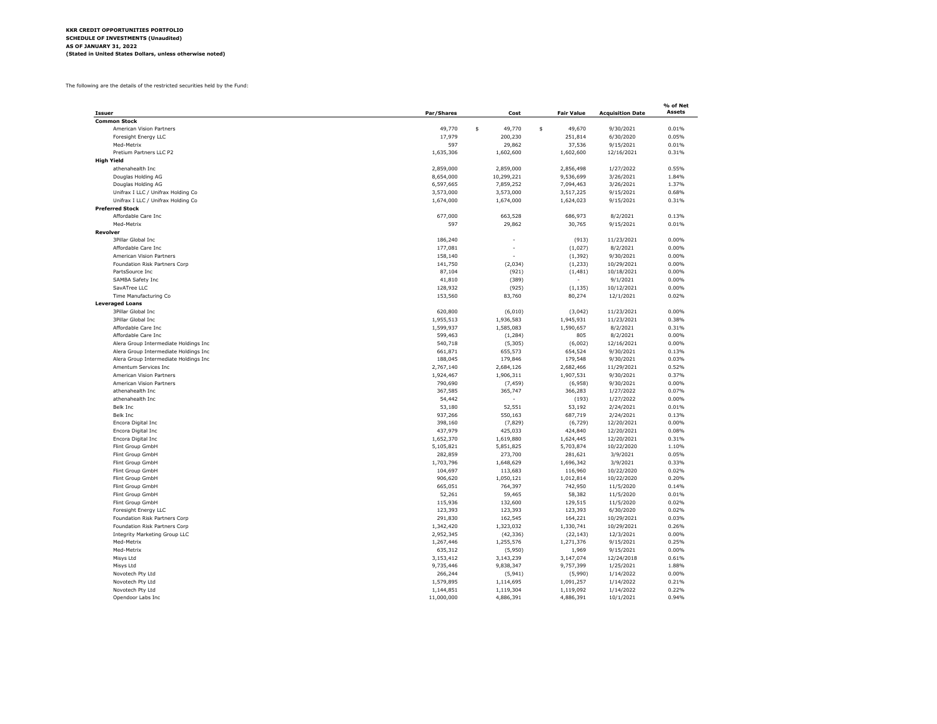The following are the details of the restricted securities held by the Fund:

| <b>Issuer</b>                                    | Par/Shares         | Cost                | <b>Fair Value</b>    | <b>Acquisition Date</b>  | % of Net<br><b>Assets</b> |
|--------------------------------------------------|--------------------|---------------------|----------------------|--------------------------|---------------------------|
| <b>Common Stock</b>                              |                    |                     |                      |                          |                           |
| American Vision Partners                         | 49,770             | \$<br>49,770        | \$<br>49,670         | 9/30/2021                | 0.01%                     |
| Foresight Energy LLC                             | 17,979             | 200,230             | 251,814              | 6/30/2020                | 0.05%                     |
| Med-Metrix                                       | 597                | 29,862              | 37,536               | 9/15/2021                | 0.01%                     |
| Pretium Partners LLC P2                          | 1,635,306          | 1,602,600           | 1,602,600            | 12/16/2021               | 0.31%                     |
| <b>High Yield</b>                                |                    |                     |                      |                          |                           |
| athenahealth Inc                                 | 2,859,000          | 2,859,000           | 2,856,498            | 1/27/2022                | 0.55%                     |
| Douglas Holding AG                               | 8,654,000          | 10,299,221          | 9,536,699            | 3/26/2021                | 1.84%                     |
| Douglas Holding AG                               | 6,597,665          | 7,859,252           | 7,094,463            | 3/26/2021                | 1.37%                     |
| Unifrax I LLC / Unifrax Holding Co               | 3,573,000          | 3,573,000           | 3,517,225            | 9/15/2021                | 0.68%                     |
| Unifrax I LLC / Unifrax Holding Co               | 1,674,000          | 1,674,000           | 1,624,023            | 9/15/2021                | 0.31%                     |
| <b>Preferred Stock</b>                           |                    |                     |                      |                          |                           |
| Affordable Care Inc                              | 677,000            | 663,528             | 686,973              | 8/2/2021                 | 0.13%                     |
| Med-Metrix                                       | 597                | 29,862              | 30,765               | 9/15/2021                | 0.01%                     |
| Revolver                                         |                    |                     |                      |                          |                           |
| 3Pillar Global Inc                               | 186,240            | $\overline{a}$      | (913)                | 11/23/2021               | 0.00%                     |
| Affordable Care Inc                              | 177,081            | $\sim$              | (1,027)              | 8/2/2021                 | 0.00%                     |
| American Vision Partners                         | 158,140            |                     | (1, 392)             | 9/30/2021                | 0.00%                     |
| Foundation Risk Partners Corp                    | 141,750            | (2,034)             | (1, 233)             | 10/29/2021               | 0.00%                     |
| PartsSource Inc                                  | 87,104             | (921)               | (1,481)              | 10/18/2021               | 0.00%                     |
| SAMBA Safety Inc                                 | 41,810             | (389)               |                      | 9/1/2021                 | 0.00%                     |
| SavATree LLC                                     | 128,932            | (925)               | (1, 135)             | 10/12/2021               | 0.00%                     |
| Time Manufacturing Co                            | 153,560            | 83,760              | 80,274               | 12/1/2021                | 0.02%                     |
| <b>Leveraged Loans</b>                           |                    |                     |                      |                          |                           |
| 3Pillar Global Inc                               | 620,800            | (6,010)             | (3,042)              | 11/23/2021               | 0.00%                     |
| 3Pillar Global Inc.                              | 1,955,513          | 1,936,583           | 1,945,931            | 11/23/2021               | 0.38%                     |
| Affordable Care Inc                              | 1,599,937          | 1,585,083           | 1,590,657            | 8/2/2021                 | 0.31%                     |
| Affordable Care Inc                              | 599,463            | (1, 284)            | 805                  | 8/2/2021                 | 0.00%                     |
| Alera Group Intermediate Holdings Inc            | 540,718            | (5, 305)            | (6,002)              | 12/16/2021               | 0.00%                     |
| Alera Group Intermediate Holdings Inc            | 661,871            | 655,573             | 654,524              | 9/30/2021                | 0.13%                     |
| Alera Group Intermediate Holdings Inc            | 188,045            | 179,846             | 179,548              | 9/30/2021                | 0.03%                     |
| Amentum Services Inc<br>American Vision Partners | 2,767,140          | 2,684,126           | 2,682,466            | 11/29/2021               | 0.52%                     |
|                                                  | 1,924,467          | 1,906,311           | 1,907,531            | 9/30/2021                | 0.37%                     |
| American Vision Partners                         | 790,690            | (7, 459)            | (6,958)              | 9/30/2021                | 0.00%<br>0.07%            |
| athenahealth Inc                                 | 367,585            | 365,747<br>÷.       | 366,283              | 1/27/2022                |                           |
| athenahealth Inc<br>Belk Inc                     | 54,442             |                     | (193)                | 1/27/2022                | 0.00%<br>0.01%            |
| Belk Inc                                         | 53,180             | 52,551              | 53,192               | 2/24/2021                | 0.13%                     |
|                                                  | 937,266            | 550,163             | 687,719              | 2/24/2021                | 0.00%                     |
| Encora Digital Inc<br>Encora Digital Inc         | 398,160<br>437,979 | (7, 829)<br>425,033 | (6, 729)             | 12/20/2021<br>12/20/2021 | 0.08%                     |
| Encora Digital Inc                               | 1,652,370          | 1,619,880           | 424,840<br>1,624,445 | 12/20/2021               | 0.31%                     |
| Flint Group GmbH                                 | 5,105,821          | 5,851,825           | 5,703,874            | 10/22/2020               | 1.10%                     |
| Flint Group GmbH                                 | 282,859            | 273,700             | 281,621              | 3/9/2021                 | 0.05%                     |
| Flint Group GmbH                                 | 1,703,796          | 1,648,629           | 1,696,342            | 3/9/2021                 | 0.33%                     |
| Flint Group GmbH                                 | 104,697            | 113,683             | 116,960              | 10/22/2020               | 0.02%                     |
| Flint Group GmbH                                 | 906,620            | 1,050,121           | 1,012,814            | 10/22/2020               | 0.20%                     |
| Flint Group GmbH                                 | 665,051            | 764,397             | 742,950              | 11/5/2020                | 0.14%                     |
| Flint Group GmbH                                 | 52,261             | 59,465              | 58,382               | 11/5/2020                | 0.01%                     |
| Flint Group GmbH                                 | 115,936            | 132,600             | 129,515              | 11/5/2020                | 0.02%                     |
| Foresight Energy LLC                             | 123,393            | 123,393             | 123,393              | 6/30/2020                | 0.02%                     |
| Foundation Risk Partners Corp                    | 291,830            | 162,545             | 164,221              | 10/29/2021               | 0.03%                     |
| Foundation Risk Partners Corp                    | 1,342,420          | 1,323,032           | 1,330,741            | 10/29/2021               | 0.26%                     |
| Integrity Marketing Group LLC                    | 2,952,345          | (42, 336)           | (22, 143)            | 12/3/2021                | 0.00%                     |
| Med-Metrix                                       | 1,267,446          | 1,255,576           | 1,271,376            | 9/15/2021                | 0.25%                     |
| Med-Metrix                                       | 635,312            | (5,950)             | 1,969                | 9/15/2021                | 0.00%                     |
| Misys Ltd                                        | 3,153,412          | 3,143,239           | 3,147,074            | 12/24/2018               | 0.61%                     |
| Misys Ltd                                        | 9,735,446          | 9,838,347           | 9,757,399            | 1/25/2021                | 1.88%                     |
| Novotech Pty Ltd                                 | 266,244            | (5, 941)            | (5,990)              | 1/14/2022                | 0.00%                     |
| Novotech Pty Ltd                                 | 1,579,895          | 1,114,695           | 1,091,257            | 1/14/2022                | 0.21%                     |
| Novotech Pty Ltd                                 | 1,144,851          | 1,119,304           | 1,119,092            | 1/14/2022                | 0.22%                     |
| Opendoor Labs Inc                                | 11,000,000         | 4,886,391           | 4,886,391            | 10/1/2021                | 0.94%                     |
|                                                  |                    |                     |                      |                          |                           |